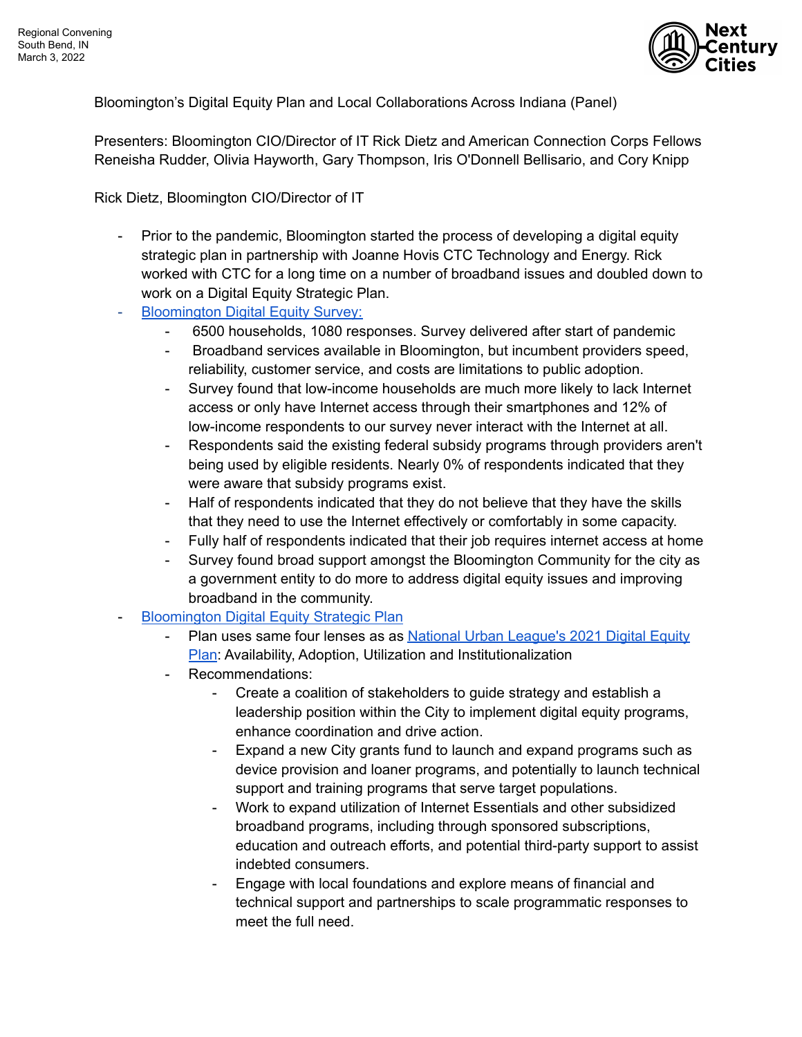

Bloomington's Digital Equity Plan and Local Collaborations Across Indiana (Panel)

Presenters: Bloomington CIO/Director of IT Rick Dietz and American Connection Corps Fellows Reneisha Rudder, Olivia Hayworth, Gary Thompson, Iris O'Donnell Bellisario, and Cory Knipp

Rick Dietz, Bloomington CIO/Director of IT

- Prior to the pandemic, Bloomington started the process of developing a digital equity strategic plan in partnership with Joanne Hovis CTC Technology and Energy. Rick worked with CTC for a long time on a number of broadband issues and doubled down to work on a Digital Equity Strategic Plan.
- [Bloomington Digital Equity Survey:](https://bloomington.in.gov/digital-equity)
	- 6500 households, 1080 responses. Survey delivered after start of pandemic
	- Broadband services available in Bloomington, but incumbent providers speed, reliability, customer service, and costs are limitations to public adoption.
	- Survey found that low-income households are much more likely to lack Internet access or only have Internet access through their smartphones and 12% of low-income respondents to our survey never interact with the Internet at all.
	- Respondents said the existing federal subsidy programs through providers aren't being used by eligible residents. Nearly 0% of respondents indicated that they were aware that subsidy programs exist.
	- Half of respondents indicated that they do not believe that they have the skills that they need to use the Internet effectively or comfortably in some capacity.
	- Fully half of respondents indicated that their job requires internet access at home
	- Survey found broad support amongst the Bloomington Community for the city as a government entity to do more to address digital equity issues and improving broadband in the community.
- [Bloomington Digital Equity Strategic Plan](https://bloomington.in.gov/sites/default/files/2020-12/City%20of%20Bloomington%20Digital%20Equity%20Strategic%20Plan%2020201220.pdf)
	- Plan uses same four lenses as as [National Urban League's 2021 Digital Equity](https://nul.org/sites/default/files/2021-04/NUL%20LL%20DEIA%20041421%20Latimer%20Plan_vFINAL_1136AM.pdf) [Plan](https://nul.org/sites/default/files/2021-04/NUL%20LL%20DEIA%20041421%20Latimer%20Plan_vFINAL_1136AM.pdf): Availability, Adoption, Utilization and Institutionalization
	- Recommendations:
		- Create a coalition of stakeholders to guide strategy and establish a leadership position within the City to implement digital equity programs, enhance coordination and drive action.
		- Expand a new City grants fund to launch and expand programs such as device provision and loaner programs, and potentially to launch technical support and training programs that serve target populations.
		- Work to expand utilization of Internet Essentials and other subsidized broadband programs, including through sponsored subscriptions, education and outreach efforts, and potential third-party support to assist indebted consumers.
		- Engage with local foundations and explore means of financial and technical support and partnerships to scale programmatic responses to meet the full need.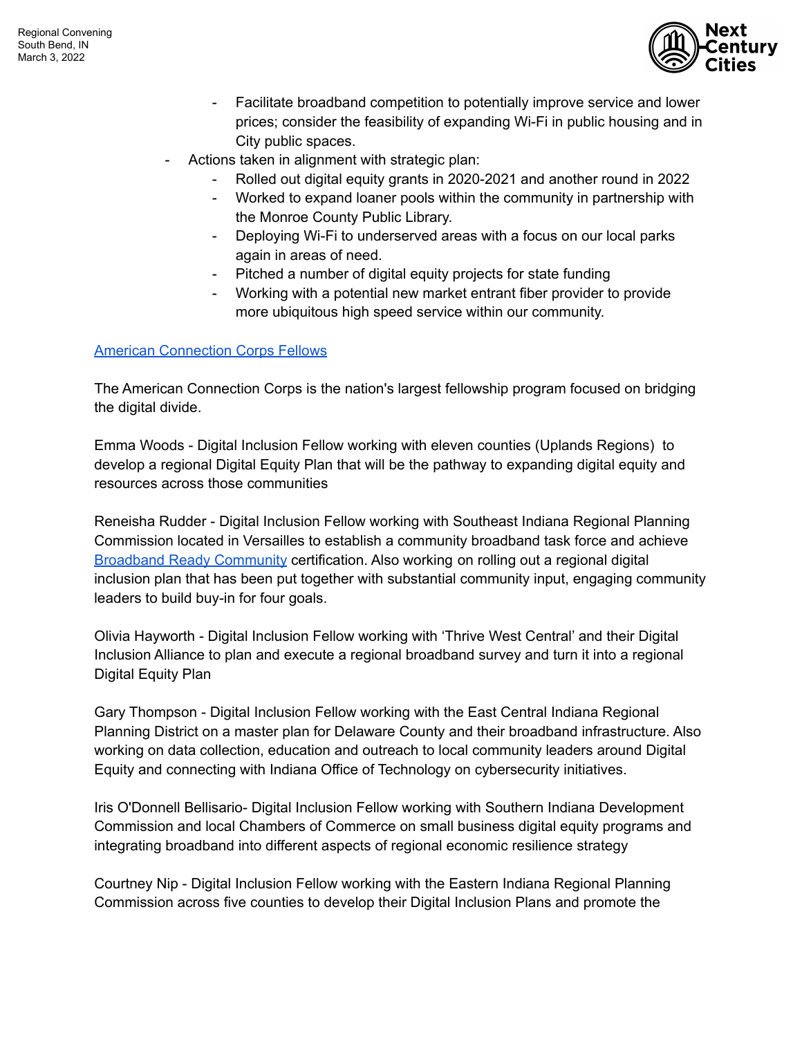

- Facilitate broadband competition to potentially improve service and lower prices; consider the feasibility of expanding Wi-Fi in public housing and in City public spaces.
- Actions taken in alignment with strategic plan:
	- Rolled out digital equity grants in 2020-2021 and another round in 2022
	- Worked to expand loaner pools within the community in partnership with the Monroe County Public Library.
	- Deploying Wi-Fi to underserved areas with a focus on our local parks again in areas of need.
	- Pitched a number of digital equity projects for state funding
	- Working with a potential new market entrant fiber provider to provide more ubiquitous high speed service within our community.

## [American Connection Corps Fellows](https://www.leadforamerica.org/american-connection-corps)

The American Connection Corps is the nation's largest fellowship program focused on bridging the digital divide.

Emma Woods - Digital Inclusion Fellow working with eleven counties (Uplands Regions) to develop a regional Digital Equity Plan that will be the pathway to expanding digital equity and resources across those communities

Reneisha Rudder - Digital Inclusion Fellow working with Southeast Indiana Regional Planning Commission located in Versailles to establish a community broadband task force and achieve [Broadband Ready Community](https://www.in.gov/ocra/files/Broadband_Ready_Facts_2019.pdf) certification. Also working on rolling out a regional digital inclusion plan that has been put together with substantial community input, engaging community leaders to build buy-in for four goals.

Olivia Hayworth - Digital Inclusion Fellow working with 'Thrive West Central' and their Digital Inclusion Alliance to plan and execute a regional broadband survey and turn it into a regional Digital Equity Plan

Gary Thompson - Digital Inclusion Fellow working with the East Central Indiana Regional Planning District on a master plan for Delaware County and their broadband infrastructure. Also working on data collection, education and outreach to local community leaders around Digital Equity and connecting with Indiana Office of Technology on cybersecurity initiatives.

Iris O'Donnell Bellisario- Digital Inclusion Fellow working with Southern Indiana Development Commission and local Chambers of Commerce on small business digital equity programs and integrating broadband into different aspects of regional economic resilience strategy

Courtney Nip - Digital Inclusion Fellow working with the Eastern Indiana Regional Planning Commission across five counties to develop their Digital Inclusion Plans and promote the